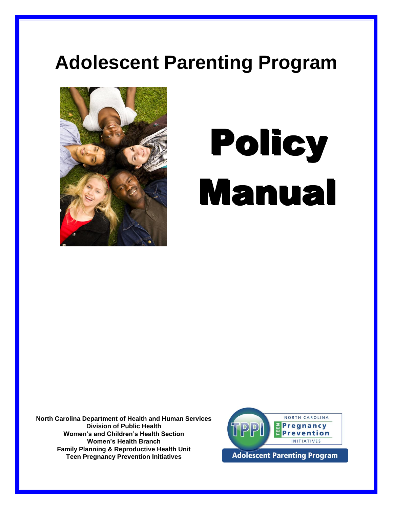## **Adolescent Parenting Program**



# **Policy** Manual

**North Carolina Department of Health and Human Services Division of Public Health Women's and Children's Health Section Women's Health Branch Family Planning & Reproductive Health Unit Teen Pregnancy Prevention Initiatives**

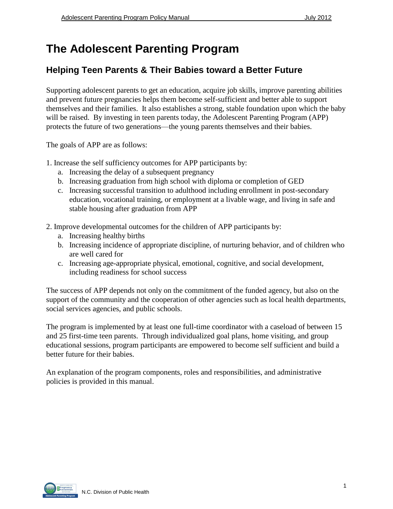#### **The Adolescent Parenting Program**

#### **Helping Teen Parents & Their Babies toward a Better Future**

Supporting adolescent parents to get an education, acquire job skills, improve parenting abilities and prevent future pregnancies helps them become self-sufficient and better able to support themselves and their families. It also establishes a strong, stable foundation upon which the baby will be raised. By investing in teen parents today, the Adolescent Parenting Program (APP) protects the future of two generations—the young parents themselves and their babies.

The goals of APP are as follows:

- 1. Increase the self sufficiency outcomes for APP participants by:
	- a. Increasing the delay of a subsequent pregnancy
	- b. Increasing graduation from high school with diploma or completion of GED
	- c. Increasing successful transition to adulthood including enrollment in post-secondary education, vocational training, or employment at a livable wage, and living in safe and stable housing after graduation from APP
- 2. Improve developmental outcomes for the children of APP participants by:
	- a. Increasing healthy births
	- b. Increasing incidence of appropriate discipline, of nurturing behavior, and of children who are well cared for
	- c. Increasing age-appropriate physical, emotional, cognitive, and social development, including readiness for school success

The success of APP depends not only on the commitment of the funded agency, but also on the support of the community and the cooperation of other agencies such as local health departments, social services agencies, and public schools.

The program is implemented by at least one full-time coordinator with a caseload of between 15 and 25 first-time teen parents. Through individualized goal plans, home visiting, and group educational sessions, program participants are empowered to become self sufficient and build a better future for their babies.

An explanation of the program components, roles and responsibilities, and administrative policies is provided in this manual.

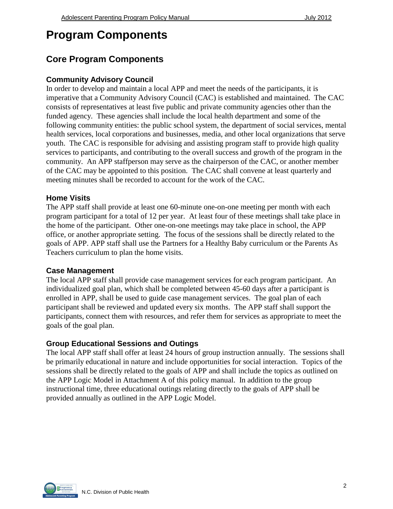#### **Program Components**

#### **Core Program Components**

#### **Community Advisory Council**

In order to develop and maintain a local APP and meet the needs of the participants, it is imperative that a Community Advisory Council (CAC) is established and maintained. The CAC consists of representatives at least five public and private community agencies other than the funded agency. These agencies shall include the local health department and some of the following community entities: the public school system, the department of social services, mental health services, local corporations and businesses, media, and other local organizations that serve youth. The CAC is responsible for advising and assisting program staff to provide high quality services to participants, and contributing to the overall success and growth of the program in the community. An APP staffperson may serve as the chairperson of the CAC, or another member of the CAC may be appointed to this position. The CAC shall convene at least quarterly and meeting minutes shall be recorded to account for the work of the CAC.

#### **Home Visits**

The APP staff shall provide at least one 60-minute one-on-one meeting per month with each program participant for a total of 12 per year. At least four of these meetings shall take place in the home of the participant. Other one-on-one meetings may take place in school, the APP office, or another appropriate setting. The focus of the sessions shall be directly related to the goals of APP. APP staff shall use the Partners for a Healthy Baby curriculum or the Parents As Teachers curriculum to plan the home visits.

#### **Case Management**

The local APP staff shall provide case management services for each program participant. An individualized goal plan, which shall be completed between 45-60 days after a participant is enrolled in APP, shall be used to guide case management services. The goal plan of each participant shall be reviewed and updated every six months. The APP staff shall support the participants, connect them with resources, and refer them for services as appropriate to meet the goals of the goal plan.

#### **Group Educational Sessions and Outings**

The local APP staff shall offer at least 24 hours of group instruction annually. The sessions shall be primarily educational in nature and include opportunities for social interaction. Topics of the sessions shall be directly related to the goals of APP and shall include the topics as outlined on the APP Logic Model in Attachment A of this policy manual. In addition to the group instructional time, three educational outings relating directly to the goals of APP shall be provided annually as outlined in the APP Logic Model.

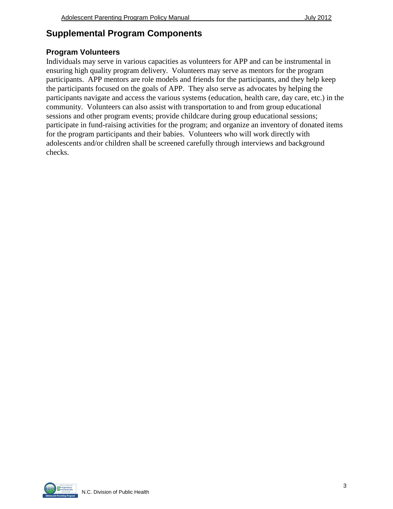#### **Supplemental Program Components**

#### **Program Volunteers**

Individuals may serve in various capacities as volunteers for APP and can be instrumental in ensuring high quality program delivery. Volunteers may serve as mentors for the program participants. APP mentors are role models and friends for the participants, and they help keep the participants focused on the goals of APP. They also serve as advocates by helping the participants navigate and access the various systems (education, health care, day care, etc.) in the community. Volunteers can also assist with transportation to and from group educational sessions and other program events; provide childcare during group educational sessions; participate in fund-raising activities for the program; and organize an inventory of donated items for the program participants and their babies. Volunteers who will work directly with adolescents and/or children shall be screened carefully through interviews and background checks.

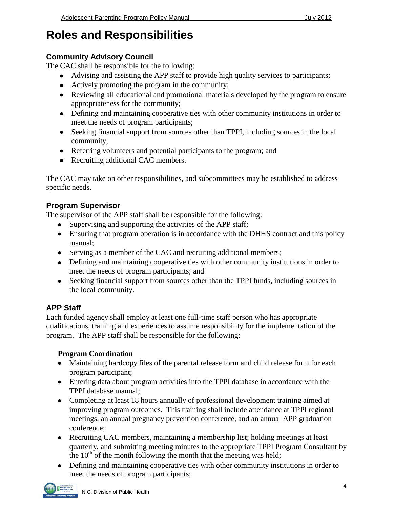#### **Roles and Responsibilities**

#### **Community Advisory Council**

The CAC shall be responsible for the following:

- Advising and assisting the APP staff to provide high quality services to participants;
- Actively promoting the program in the community;
- Reviewing all educational and promotional materials developed by the program to ensure appropriateness for the community;
- Defining and maintaining cooperative ties with other community institutions in order to meet the needs of program participants;
- Seeking financial support from sources other than TPPI, including sources in the local community;
- Referring volunteers and potential participants to the program; and
- Recruiting additional CAC members.

The CAC may take on other responsibilities, and subcommittees may be established to address specific needs.

#### **Program Supervisor**

The supervisor of the APP staff shall be responsible for the following:

- Supervising and supporting the activities of the APP staff;
- Ensuring that program operation is in accordance with the DHHS contract and this policy manual;
- Serving as a member of the CAC and recruiting additional members;
- Defining and maintaining cooperative ties with other community institutions in order to meet the needs of program participants; and
- Seeking financial support from sources other than the TPPI funds, including sources in the local community.

#### **APP Staff**

Each funded agency shall employ at least one full-time staff person who has appropriate qualifications, training and experiences to assume responsibility for the implementation of the program. The APP staff shall be responsible for the following:

#### **Program Coordination**

- Maintaining hardcopy files of the parental release form and child release form for each program participant;
- Entering data about program activities into the TPPI database in accordance with the TPPI database manual;
- Completing at least 18 hours annually of professional development training aimed at improving program outcomes. This training shall include attendance at TPPI regional meetings, an annual pregnancy prevention conference, and an annual APP graduation conference;
- Recruiting CAC members, maintaining a membership list; holding meetings at least quarterly, and submitting meeting minutes to the appropriate TPPI Program Consultant by the  $10<sup>th</sup>$  of the month following the month that the meeting was held;
- Defining and maintaining cooperative ties with other community institutions in order to meet the needs of program participants;

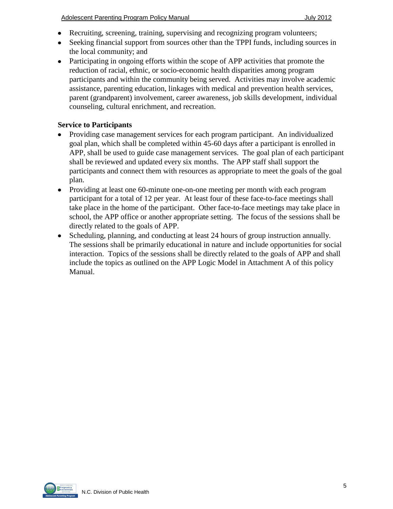- Recruiting, screening, training, supervising and recognizing program volunteers;
- Seeking financial support from sources other than the TPPI funds, including sources in the local community; and
- Participating in ongoing efforts within the scope of APP activities that promote the reduction of racial, ethnic, or socio-economic health disparities among program participants and within the community being served. Activities may involve academic assistance, parenting education, linkages with medical and prevention health services, parent (grandparent) involvement, career awareness, job skills development, individual counseling, cultural enrichment, and recreation.

#### **Service to Participants**

- Providing case management services for each program participant. An individualized goal plan, which shall be completed within 45-60 days after a participant is enrolled in APP, shall be used to guide case management services. The goal plan of each participant shall be reviewed and updated every six months. The APP staff shall support the participants and connect them with resources as appropriate to meet the goals of the goal plan.
- Providing at least one 60-minute one-on-one meeting per month with each program  $\bullet$ participant for a total of 12 per year. At least four of these face-to-face meetings shall take place in the home of the participant. Other face-to-face meetings may take place in school, the APP office or another appropriate setting. The focus of the sessions shall be directly related to the goals of APP.
- Scheduling, planning, and conducting at least 24 hours of group instruction annually.  $\bullet$ The sessions shall be primarily educational in nature and include opportunities for social interaction. Topics of the sessions shall be directly related to the goals of APP and shall include the topics as outlined on the APP Logic Model in Attachment A of this policy Manual.

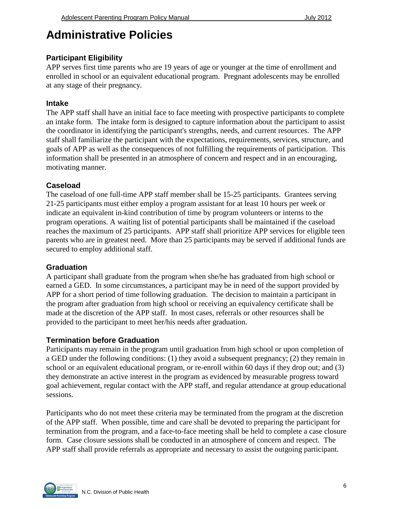#### **Administrative Policies**

#### **Participant Eligibility**

APP serves first time parents who are 19 years of age or younger at the time of enrollment and enrolled in school or an equivalent educational program. Pregnant adolescents may be enrolled at any stage of their pregnancy.

#### **Intake**

The APP staff shall have an initial face to face meeting with prospective participants to complete an intake form. The intake form is designed to capture information about the participant to assist the coordinator in identifying the participant's strengths, needs, and current resources. The APP staff shall familiarize the participant with the expectations, requirements, services, structure, and goals of APP as well as the consequences of not fulfilling the requirements of participation. This information shall be presented in an atmosphere of concern and respect and in an encouraging, motivating manner.

#### **Caseload**

The caseload of one full-time APP staff member shall be 15-25 participants. Grantees serving 21-25 participants must either employ a program assistant for at least 10 hours per week or indicate an equivalent in-kind contribution of time by program volunteers or interns to the program operations. A waiting list of potential participants shall be maintained if the caseload reaches the maximum of 25 participants. APP staff shall prioritize APP services for eligible teen parents who are in greatest need. More than 25 participants may be served if additional funds are secured to employ additional staff.

#### **Graduation**

A participant shall graduate from the program when she/he has graduated from high school or earned a GED. In some circumstances, a participant may be in need of the support provided by APP for a short period of time following graduation. The decision to maintain a participant in the program after graduation from high school or receiving an equivalency certificate shall be made at the discretion of the APP staff. In most cases, referrals or other resources shall be provided to the participant to meet her/his needs after graduation.

#### **Termination before Graduation**

Participants may remain in the program until graduation from high school or upon completion of a GED under the following conditions: (1) they avoid a subsequent pregnancy; (2) they remain in school or an equivalent educational program, or re-enroll within 60 days if they drop out; and (3) they demonstrate an active interest in the program as evidenced by measurable progress toward goal achievement, regular contact with the APP staff, and regular attendance at group educational sessions.

Participants who do not meet these criteria may be terminated from the program at the discretion of the APP staff. When possible, time and care shall be devoted to preparing the participant for termination from the program, and a face-to-face meeting shall be held to complete a case closure form. Case closure sessions shall be conducted in an atmosphere of concern and respect. The APP staff shall provide referrals as appropriate and necessary to assist the outgoing participant.

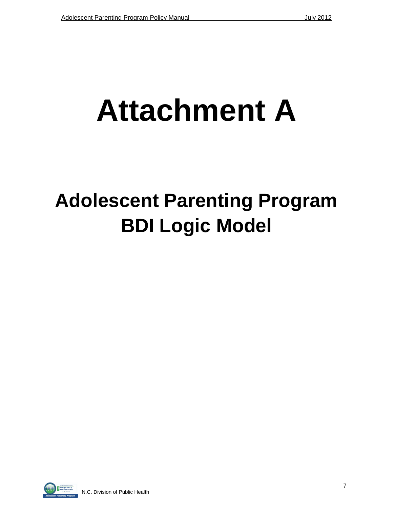## **Attachment A**

## **Adolescent Parenting Program BDI Logic Model**

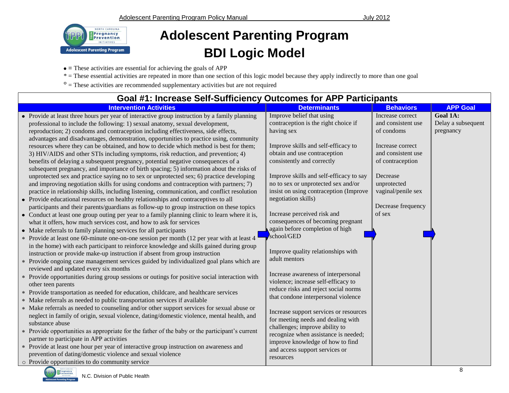

### **Adolescent Parenting Program BDI Logic Model**

- $\bullet$  = These activities are essential for achieving the goals of APP
- \* = These essential activities are repeated in more than one section of this logic model because they apply indirectly to more than one goal
- $\degree$  = These activities are recommended supplementary activities but are not required

| Goal #1: Increase Self-Sufficiency Outcomes for APP Participants                                                                                                                                                                                                                                                                                                                                                                                                                                                                                                                                                                              |                                                                                                                                                                                     |                                                                                       |                                             |
|-----------------------------------------------------------------------------------------------------------------------------------------------------------------------------------------------------------------------------------------------------------------------------------------------------------------------------------------------------------------------------------------------------------------------------------------------------------------------------------------------------------------------------------------------------------------------------------------------------------------------------------------------|-------------------------------------------------------------------------------------------------------------------------------------------------------------------------------------|---------------------------------------------------------------------------------------|---------------------------------------------|
| <b>Intervention Activities</b>                                                                                                                                                                                                                                                                                                                                                                                                                                                                                                                                                                                                                | <b>Determinants</b>                                                                                                                                                                 | <b>Behaviors</b>                                                                      | <b>APP Goal</b>                             |
| • Provide at least three hours per year of interactive group instruction by a family planning<br>professional to include the following: 1) sexual anatomy, sexual development,<br>reproduction; 2) condoms and contraception including effectiveness, side effects,                                                                                                                                                                                                                                                                                                                                                                           | Improve belief that using<br>contraception is the right choice if<br>having sex                                                                                                     | Increase correct<br>and consistent use<br>of condoms                                  | Goal 1A:<br>Delay a subsequent<br>pregnancy |
| advantages and disadvantages, demonstration, opportunities to practice using, community<br>resources where they can be obtained, and how to decide which method is best for them;<br>3) HIV/AIDS and other STIs including symptoms, risk reduction, and prevention; 4)<br>benefits of delaying a subsequent pregnancy, potential negative consequences of a<br>subsequent pregnancy, and importance of birth spacing; 5) information about the risks of<br>unprotected sex and practice saying no to sex or unprotected sex; 6) practice developing<br>and improving negotiation skills for using condoms and contraception with partners; 7) | Improve skills and self-efficacy to<br>obtain and use contraception<br>consistently and correctly<br>Improve skills and self-efficacy to say<br>no to sex or unprotected sex and/or | Increase correct<br>and consistent use<br>of contraception<br>Decrease<br>unprotected |                                             |
| practice in relationship skills, including listening, communication, and conflict resolution<br>• Provide educational resources on healthy relationships and contraceptives to all<br>participants and their parents/guardians as follow-up to group instruction on these topics<br>• Conduct at least one group outing per year to a family planning clinic to learn where it is,<br>what it offers, how much services cost, and how to ask for services                                                                                                                                                                                     | insist on using contraception (Improve<br>negotiation skills)<br>Increase perceived risk and<br>consequences of becoming pregnant                                                   | vaginal/penile sex<br>Decrease frequency<br>of sex                                    |                                             |
| • Make referrals to family planning services for all participants<br>* Provide at least one 60-minute one-on-one session per month (12 per year with at least 4<br>in the home) with each participant to reinforce knowledge and skills gained during group                                                                                                                                                                                                                                                                                                                                                                                   | again before completion of high<br>school/GED                                                                                                                                       |                                                                                       |                                             |
| instruction or provide make-up instruction if absent from group instruction<br>* Provide ongoing case management services guided by individualized goal plans which are<br>reviewed and updated every six months                                                                                                                                                                                                                                                                                                                                                                                                                              | Improve quality relationships with<br>adult mentors                                                                                                                                 |                                                                                       |                                             |
| * Provide opportunities during group sessions or outings for positive social interaction with<br>other teen parents<br>* Provide transportation as needed for education, childcare, and healthcare services                                                                                                                                                                                                                                                                                                                                                                                                                                   | Increase awareness of interpersonal<br>violence; increase self-efficacy to<br>reduce risks and reject social norms                                                                  |                                                                                       |                                             |
| * Make referrals as needed to public transportation services if available<br>* Make referrals as needed to counseling and/or other support services for sexual abuse or                                                                                                                                                                                                                                                                                                                                                                                                                                                                       | that condone interpersonal violence                                                                                                                                                 |                                                                                       |                                             |
| neglect in family of origin, sexual violence, dating/domestic violence, mental health, and<br>substance abuse                                                                                                                                                                                                                                                                                                                                                                                                                                                                                                                                 | Increase support services or resources<br>for meeting needs and dealing with<br>challenges; improve ability to                                                                      |                                                                                       |                                             |
| * Provide opportunities as appropriate for the father of the baby or the participant's current<br>partner to participate in APP activities                                                                                                                                                                                                                                                                                                                                                                                                                                                                                                    | recognize when assistance is needed;<br>improve knowledge of how to find                                                                                                            |                                                                                       |                                             |
| * Provide at least one hour per year of interactive group instruction on awareness and<br>prevention of dating/domestic violence and sexual violence<br>o Provide opportunities to do community service                                                                                                                                                                                                                                                                                                                                                                                                                                       | and access support services or<br>resources                                                                                                                                         |                                                                                       |                                             |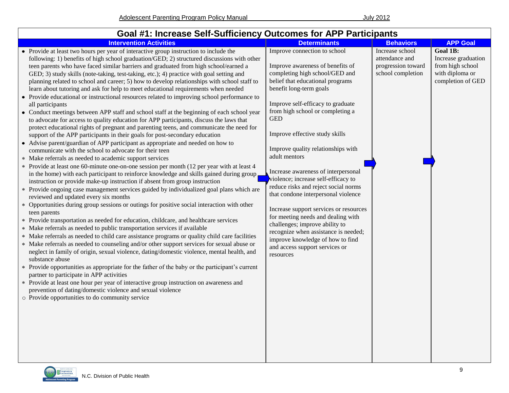| Goal #1: Increase Self-Sufficiency Outcomes for APP Participants                                                                                                                                                                                                                                                                                                                                                                                                                                                                                                                                                                                                                                                                                                                                                                                                                                                                                                                                                                                                                                                                                                                                                                                                                                                                                                                                                                                                                                                                                                                                                                                                                                                                                                                                                                                                                                                                                                                                                                                                                                                                                                                                                                                                                                                                                                                                                                                                                                                                                                                                                                       |                                                                                                                                                                                                                                                                                                                                                                                                                                                                                                                                                                                                                                                                                                                                                             |                                                                              |                                                                                                    |
|----------------------------------------------------------------------------------------------------------------------------------------------------------------------------------------------------------------------------------------------------------------------------------------------------------------------------------------------------------------------------------------------------------------------------------------------------------------------------------------------------------------------------------------------------------------------------------------------------------------------------------------------------------------------------------------------------------------------------------------------------------------------------------------------------------------------------------------------------------------------------------------------------------------------------------------------------------------------------------------------------------------------------------------------------------------------------------------------------------------------------------------------------------------------------------------------------------------------------------------------------------------------------------------------------------------------------------------------------------------------------------------------------------------------------------------------------------------------------------------------------------------------------------------------------------------------------------------------------------------------------------------------------------------------------------------------------------------------------------------------------------------------------------------------------------------------------------------------------------------------------------------------------------------------------------------------------------------------------------------------------------------------------------------------------------------------------------------------------------------------------------------------------------------------------------------------------------------------------------------------------------------------------------------------------------------------------------------------------------------------------------------------------------------------------------------------------------------------------------------------------------------------------------------------------------------------------------------------------------------------------------------|-------------------------------------------------------------------------------------------------------------------------------------------------------------------------------------------------------------------------------------------------------------------------------------------------------------------------------------------------------------------------------------------------------------------------------------------------------------------------------------------------------------------------------------------------------------------------------------------------------------------------------------------------------------------------------------------------------------------------------------------------------------|------------------------------------------------------------------------------|----------------------------------------------------------------------------------------------------|
| <b>Intervention Activities</b>                                                                                                                                                                                                                                                                                                                                                                                                                                                                                                                                                                                                                                                                                                                                                                                                                                                                                                                                                                                                                                                                                                                                                                                                                                                                                                                                                                                                                                                                                                                                                                                                                                                                                                                                                                                                                                                                                                                                                                                                                                                                                                                                                                                                                                                                                                                                                                                                                                                                                                                                                                                                         | <b>Determinants</b>                                                                                                                                                                                                                                                                                                                                                                                                                                                                                                                                                                                                                                                                                                                                         | <b>Behaviors</b>                                                             | <b>APP Goal</b>                                                                                    |
| • Provide at least two hours per year of interactive group instruction to include the<br>following: 1) benefits of high school graduation/GED; 2) structured discussions with other<br>teen parents who have faced similar barriers and graduated from high school/earned a<br>GED; 3) study skills (note-taking, test-taking, etc.); 4) practice with goal setting and<br>planning related to school and career; 5) how to develop relationships with school staff to<br>learn about tutoring and ask for help to meet educational requirements when needed<br>• Provide educational or instructional resources related to improving school performance to<br>all participants<br>• Conduct meetings between APP staff and school staff at the beginning of each school year<br>to advocate for access to quality education for APP participants, discuss the laws that<br>protect educational rights of pregnant and parenting teens, and communicate the need for<br>support of the APP participants in their goals for post-secondary education<br>• Advise parent/guardian of APP participant as appropriate and needed on how to<br>communicate with the school to advocate for their teen<br>* Make referrals as needed to academic support services<br>* Provide at least one 60-minute one-on-one session per month (12 per year with at least 4<br>in the home) with each participant to reinforce knowledge and skills gained during group<br>instruction or provide make-up instruction if absent from group instruction<br>* Provide ongoing case management services guided by individualized goal plans which are<br>reviewed and updated every six months<br>* Opportunities during group sessions or outings for positive social interaction with other<br>teen parents<br>* Provide transportation as needed for education, childcare, and healthcare services<br>* Make referrals as needed to public transportation services if available<br>* Make referrals as needed to child care assistance programs or quality child care facilities<br>* Make referrals as needed to counseling and/or other support services for sexual abuse or<br>neglect in family of origin, sexual violence, dating/domestic violence, mental health, and<br>substance abuse<br>* Provide opportunities as appropriate for the father of the baby or the participant's current<br>partner to participate in APP activities<br>* Provide at least one hour per year of interactive group instruction on awareness and<br>prevention of dating/domestic violence and sexual violence<br>o Provide opportunities to do community service | Improve connection to school<br>Improve awareness of benefits of<br>completing high school/GED and<br>belief that educational programs<br>benefit long-term goals<br>Improve self-efficacy to graduate<br>from high school or completing a<br><b>GED</b><br>Improve effective study skills<br>Improve quality relationships with<br>adult mentors<br>Increase awareness of interpersonal<br>violence; increase self-efficacy to<br>reduce risks and reject social norms<br>that condone interpersonal violence<br>Increase support services or resources<br>for meeting needs and dealing with<br>challenges; improve ability to<br>recognize when assistance is needed;<br>improve knowledge of how to find<br>and access support services or<br>resources | Increase school<br>attendance and<br>progression toward<br>school completion | <b>Goal 1B:</b><br>Increase graduation<br>from high school<br>with diploma or<br>completion of GED |

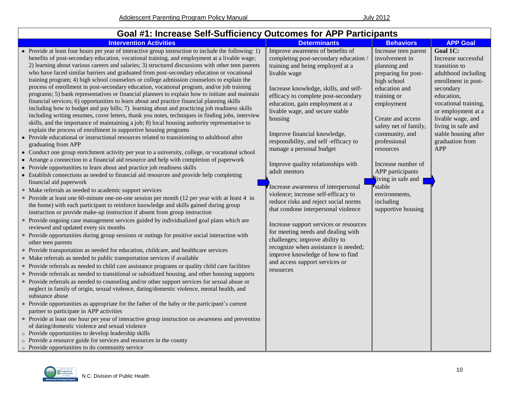#### **Goal #1: Increase Self-Sufficiency Outcomes for APP Participants**

| <b>Intervention Activities</b>                                                                                                                                                                                                                                                                                                                                                                                                                                                                                                                                                                                                                                                                                                                                                                                                                                                                                                                                                                                                                                                                                                                                                                                                                                                                                                                                                                                                                                                                                                                                                                                                                                                                                                                                                                                                                                                                                                                                                                                                                                                                                                                                                                                                                                                                                                                                                                                                                                                                                                                                                                                                                                                                                                                                                                                                                                                                                                                                                                                                                                                                                                                                                                                                                                                                                                                                                            | <b>Determinants</b>                                                                                                                                                                                                                                                                                                                                                                                                                                                                                                                                                                                                                                                                                                                                                                                                                                                 | <b>Behaviors</b>                                                                                                                                                                                                                                                                                                                                                     | <b>APP Goal</b>                                                                                                                                                                                                                                                             |
|-------------------------------------------------------------------------------------------------------------------------------------------------------------------------------------------------------------------------------------------------------------------------------------------------------------------------------------------------------------------------------------------------------------------------------------------------------------------------------------------------------------------------------------------------------------------------------------------------------------------------------------------------------------------------------------------------------------------------------------------------------------------------------------------------------------------------------------------------------------------------------------------------------------------------------------------------------------------------------------------------------------------------------------------------------------------------------------------------------------------------------------------------------------------------------------------------------------------------------------------------------------------------------------------------------------------------------------------------------------------------------------------------------------------------------------------------------------------------------------------------------------------------------------------------------------------------------------------------------------------------------------------------------------------------------------------------------------------------------------------------------------------------------------------------------------------------------------------------------------------------------------------------------------------------------------------------------------------------------------------------------------------------------------------------------------------------------------------------------------------------------------------------------------------------------------------------------------------------------------------------------------------------------------------------------------------------------------------------------------------------------------------------------------------------------------------------------------------------------------------------------------------------------------------------------------------------------------------------------------------------------------------------------------------------------------------------------------------------------------------------------------------------------------------------------------------------------------------------------------------------------------------------------------------------------------------------------------------------------------------------------------------------------------------------------------------------------------------------------------------------------------------------------------------------------------------------------------------------------------------------------------------------------------------------------------------------------------------------------------------------------------------|---------------------------------------------------------------------------------------------------------------------------------------------------------------------------------------------------------------------------------------------------------------------------------------------------------------------------------------------------------------------------------------------------------------------------------------------------------------------------------------------------------------------------------------------------------------------------------------------------------------------------------------------------------------------------------------------------------------------------------------------------------------------------------------------------------------------------------------------------------------------|----------------------------------------------------------------------------------------------------------------------------------------------------------------------------------------------------------------------------------------------------------------------------------------------------------------------------------------------------------------------|-----------------------------------------------------------------------------------------------------------------------------------------------------------------------------------------------------------------------------------------------------------------------------|
| • Provide at least four hours per year of interactive group instruction to include the following: 1)<br>benefits of post-secondary education, vocational training, and employment at a livable wage;<br>2) learning about various careers and salaries; 3) structured discussions with other teen parents<br>who have faced similar barriers and graduated from post-secondary education or vocational<br>training program; 4) high school counselors or college admission counselors to explain the<br>process of enrollment in post-secondary education, vocational program, and/or job training<br>programs; 5) bank representatives or financial planners to explain how to initiate and maintain<br>financial services; 6) opportunities to learn about and practice financial planning skills<br>including how to budget and pay bills; 7) learning about and practicing job readiness skills<br>including writing resumes, cover letters, thank you notes, techniques in finding jobs, interview<br>skills, and the importance of maintaining a job; 8) local housing authority representative to<br>explain the process of enrollment in supportive housing programs<br>• Provide educational or instructional resources related to transitioning to adulthood after<br>graduating from APP<br>• Conduct one group enrichment activity per year to a university, college, or vocational school<br>• Arrange a connection to a financial aid resource and help with completion of paperwork<br>• Provide opportunities to learn about and practice job readiness skills<br>• Establish connections as needed to financial aid resources and provide help completing<br>financial aid paperwork<br>* Make referrals as needed to academic support services<br>* Provide at least one 60-minute one-on-one session per month (12 per year with at least 4 in<br>the home) with each participant to reinforce knowledge and skills gained during group<br>instruction or provide make-up instruction if absent from group instruction<br>* Provide ongoing case management services guided by individualized goal plans which are<br>reviewed and updated every six months<br>* Provide opportunities during group sessions or outings for positive social interaction with<br>other teen parents<br>* Provide transportation as needed for education, childcare, and healthcare services<br>* Make referrals as needed to public transportation services if available<br>* Provide referrals as needed to child care assistance programs or quality child care facilities<br>* Provide referrals as needed to transitional or subsidized housing, and other housing supports<br>* Provide referrals as needed to counseling and/or other support services for sexual abuse or<br>neglect in family of origin, sexual violence, dating/domestic violence, mental health, and<br>substance abuse<br>* Provide opportunities as appropriate for the father of the baby or the participant's current<br>partner to participate in APP activities<br>* Provide at least one hour per year of interactive group instruction on awareness and prevention<br>of dating/domestic violence and sexual violence<br>Provide opportunities to develop leadership skills<br>o Provide a resource guide for services and resources in the county<br>o Provide opportunities to do community service | Improve awareness of benefits of<br>completing post-secondary education /<br>training and being employed at a<br>livable wage<br>Increase knowledge, skills, and self-<br>efficacy to complete post-secondary<br>education, gain employment at a<br>livable wage, and secure stable<br>housing<br>Improve financial knowledge,<br>responsibility, and self-efficacy to<br>manage a personal budget<br>Improve quality relationships with<br>adult mentors<br>Increase awareness of interpersonal<br>violence; increase self-efficacy to<br>reduce risks and reject social norms<br>that condone interpersonal violence<br>Increase support services or resources<br>for meeting needs and dealing with<br>challenges; improve ability to<br>recognize when assistance is needed;<br>improve knowledge of how to find<br>and access support services or<br>resources | Increase teen parent<br>involvement in<br>planning and<br>preparing for post-<br>high school<br>education and<br>training or<br>employment<br>Create and access<br>safety net of family,<br>community, and<br>professional<br>resources<br>Increase number of<br>APP participants<br>iving in safe and<br>stable<br>environments,<br>including<br>supportive housing | Goal 1C:<br>Increase successful<br>transition to<br>adulthood including<br>enrollment in post-<br>secondary<br>education,<br>vocational training,<br>or employment at a<br>livable wage, and<br>living in safe and<br>stable housing after<br>graduation from<br><b>APP</b> |

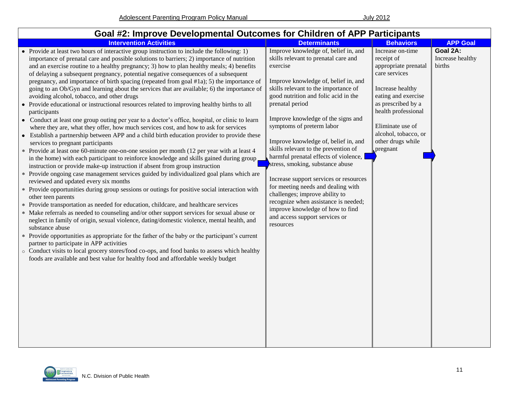| Goal #2: Improve Developmental Outcomes for Children of APP Participants                                                                                                                                                                                                                                                                                                                                                                                                                                                                                                                                                                                                                                                                                                                                                                                                                                                                                                                                                                                                                                                                                                                                                                                                                                                                                                                                                                                                                                                                                                                                                                                                                                                                                                                                                                                                                                                                                                                                                                                                                                                                                                                                                                            |                                                                                                                                                                                                                                                                                                                                                                                                                                                                                                                                                                                                                                                                                                                  |                                                                                                                                                                                                                                              |                                        |
|-----------------------------------------------------------------------------------------------------------------------------------------------------------------------------------------------------------------------------------------------------------------------------------------------------------------------------------------------------------------------------------------------------------------------------------------------------------------------------------------------------------------------------------------------------------------------------------------------------------------------------------------------------------------------------------------------------------------------------------------------------------------------------------------------------------------------------------------------------------------------------------------------------------------------------------------------------------------------------------------------------------------------------------------------------------------------------------------------------------------------------------------------------------------------------------------------------------------------------------------------------------------------------------------------------------------------------------------------------------------------------------------------------------------------------------------------------------------------------------------------------------------------------------------------------------------------------------------------------------------------------------------------------------------------------------------------------------------------------------------------------------------------------------------------------------------------------------------------------------------------------------------------------------------------------------------------------------------------------------------------------------------------------------------------------------------------------------------------------------------------------------------------------------------------------------------------------------------------------------------------------|------------------------------------------------------------------------------------------------------------------------------------------------------------------------------------------------------------------------------------------------------------------------------------------------------------------------------------------------------------------------------------------------------------------------------------------------------------------------------------------------------------------------------------------------------------------------------------------------------------------------------------------------------------------------------------------------------------------|----------------------------------------------------------------------------------------------------------------------------------------------------------------------------------------------------------------------------------------------|----------------------------------------|
| <b>Intervention Activities</b>                                                                                                                                                                                                                                                                                                                                                                                                                                                                                                                                                                                                                                                                                                                                                                                                                                                                                                                                                                                                                                                                                                                                                                                                                                                                                                                                                                                                                                                                                                                                                                                                                                                                                                                                                                                                                                                                                                                                                                                                                                                                                                                                                                                                                      | <b>Determinants</b>                                                                                                                                                                                                                                                                                                                                                                                                                                                                                                                                                                                                                                                                                              | <b>Behaviors</b>                                                                                                                                                                                                                             | <b>APP Goal</b>                        |
| • Provide at least two hours of interactive group instruction to include the following: 1)<br>importance of prenatal care and possible solutions to barriers; 2) importance of nutrition<br>and an exercise routine to a healthy pregnancy; 3) how to plan healthy meals; 4) benefits<br>of delaying a subsequent pregnancy, potential negative consequences of a subsequent<br>pregnancy, and importance of birth spacing (repeated from goal #1a); 5) the importance of<br>going to an Ob/Gyn and learning about the services that are available; 6) the importance of<br>avoiding alcohol, tobacco, and other drugs<br>• Provide educational or instructional resources related to improving healthy births to all<br>participants<br>• Conduct at least one group outing per year to a doctor's office, hospital, or clinic to learn<br>where they are, what they offer, how much services cost, and how to ask for services<br>• Establish a partnership between APP and a child birth education provider to provide these<br>services to pregnant participants<br>* Provide at least one 60-minute one-on-one session per month (12 per year with at least 4<br>in the home) with each participant to reinforce knowledge and skills gained during group.<br>instruction or provide make-up instruction if absent from group instruction<br>* Provide ongoing case management services guided by individualized goal plans which are<br>reviewed and updated every six months<br>* Provide opportunities during group sessions or outings for positive social interaction with<br>other teen parents<br>* Provide transportation as needed for education, childcare, and healthcare services<br>* Make referrals as needed to counseling and/or other support services for sexual abuse or<br>neglect in family of origin, sexual violence, dating/domestic violence, mental health, and<br>substance abuse<br>* Provide opportunities as appropriate for the father of the baby or the participant's current<br>partner to participate in APP activities<br>○ Conduct visits to local grocery stores/food co-ops, and food banks to assess which healthy<br>foods are available and best value for healthy food and affordable weekly budget | Improve knowledge of, belief in, and<br>skills relevant to prenatal care and<br>exercise<br>Improve knowledge of, belief in, and<br>skills relevant to the importance of<br>good nutrition and folic acid in the<br>prenatal period<br>Improve knowledge of the signs and<br>symptoms of preterm labor<br>Improve knowledge of, belief in, and<br>skills relevant to the prevention of<br>harmful prenatal effects of violence,<br>stress, smoking, substance abuse<br>Increase support services or resources<br>for meeting needs and dealing with<br>challenges; improve ability to<br>recognize when assistance is needed;<br>improve knowledge of how to find<br>and access support services or<br>resources | Increase on-time<br>receipt of<br>appropriate prenatal<br>care services<br>Increase healthy<br>eating and exercise<br>as prescribed by a<br>health professional<br>Eliminate use of<br>alcohol, tobacco, or<br>other drugs while<br>pregnant | Goal 2A:<br>Increase healthy<br>births |

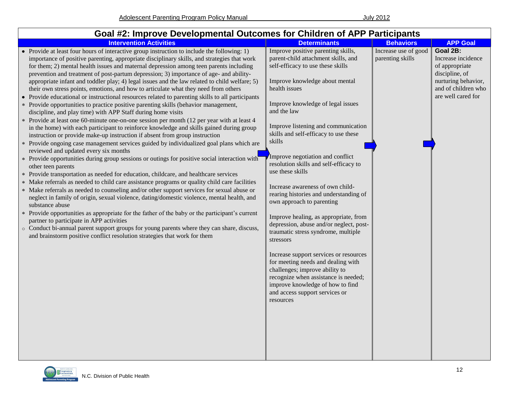| Goal #2: Improve Developmental Outcomes for Children of APP Participants                                                                                                                                                                                                                                                                                                                                                                                                                                                                                                                                                                                                                                                                                                                                                                                                                                                                                                                                                                                                                                                                                                                                                                                                                                                                                                                                                                                                                                                                                                                                                                                                                                                                                                                                                                                                                                                                                                                                                                                                                                |                                                                                                                                                                                                                                                                                                                                                                                                                                                                                                                                                                                                                                                                                                                                                                                                                                                                                                                   |                                          |                                                                                                                                        |
|---------------------------------------------------------------------------------------------------------------------------------------------------------------------------------------------------------------------------------------------------------------------------------------------------------------------------------------------------------------------------------------------------------------------------------------------------------------------------------------------------------------------------------------------------------------------------------------------------------------------------------------------------------------------------------------------------------------------------------------------------------------------------------------------------------------------------------------------------------------------------------------------------------------------------------------------------------------------------------------------------------------------------------------------------------------------------------------------------------------------------------------------------------------------------------------------------------------------------------------------------------------------------------------------------------------------------------------------------------------------------------------------------------------------------------------------------------------------------------------------------------------------------------------------------------------------------------------------------------------------------------------------------------------------------------------------------------------------------------------------------------------------------------------------------------------------------------------------------------------------------------------------------------------------------------------------------------------------------------------------------------------------------------------------------------------------------------------------------------|-------------------------------------------------------------------------------------------------------------------------------------------------------------------------------------------------------------------------------------------------------------------------------------------------------------------------------------------------------------------------------------------------------------------------------------------------------------------------------------------------------------------------------------------------------------------------------------------------------------------------------------------------------------------------------------------------------------------------------------------------------------------------------------------------------------------------------------------------------------------------------------------------------------------|------------------------------------------|----------------------------------------------------------------------------------------------------------------------------------------|
| <b>Intervention Activities</b>                                                                                                                                                                                                                                                                                                                                                                                                                                                                                                                                                                                                                                                                                                                                                                                                                                                                                                                                                                                                                                                                                                                                                                                                                                                                                                                                                                                                                                                                                                                                                                                                                                                                                                                                                                                                                                                                                                                                                                                                                                                                          | <b>Determinants</b>                                                                                                                                                                                                                                                                                                                                                                                                                                                                                                                                                                                                                                                                                                                                                                                                                                                                                               | <b>Behaviors</b>                         | <b>APP Goal</b>                                                                                                                        |
| • Provide at least four hours of interactive group instruction to include the following: 1)<br>importance of positive parenting, appropriate disciplinary skills, and strategies that work<br>for them; 2) mental health issues and maternal depression among teen parents including<br>prevention and treatment of post-partum depression; 3) importance of age- and ability-<br>appropriate infant and toddler play; 4) legal issues and the law related to child welfare; 5)<br>their own stress points, emotions, and how to articulate what they need from others<br>• Provide educational or instructional resources related to parenting skills to all participants<br>* Provide opportunities to practice positive parenting skills (behavior management,<br>discipline, and play time) with APP Staff during home visits<br>* Provide at least one 60-minute one-on-one session per month (12 per year with at least 4<br>in the home) with each participant to reinforce knowledge and skills gained during group<br>instruction or provide make-up instruction if absent from group instruction<br>* Provide ongoing case management services guided by individualized goal plans which are<br>reviewed and updated every six months<br>* Provide opportunities during group sessions or outings for positive social interaction with<br>other teen parents<br>* Provide transportation as needed for education, childcare, and healthcare services<br>* Make referrals as needed to child care assistance programs or quality child care facilities<br>* Make referrals as needed to counseling and/or other support services for sexual abuse or<br>neglect in family of origin, sexual violence, dating/domestic violence, mental health, and<br>substance abuse<br>* Provide opportunities as appropriate for the father of the baby or the participant's current<br>partner to participate in APP activities<br>o Conduct bi-annual parent support groups for young parents where they can share, discuss,<br>and brainstorm positive conflict resolution strategies that work for them | Improve positive parenting skills,<br>parent-child attachment skills, and<br>self-efficacy to use these skills<br>Improve knowledge about mental<br>health issues<br>Improve knowledge of legal issues<br>and the law<br>Improve listening and communication<br>skills and self-efficacy to use these<br>skills<br>Improve negotiation and conflict<br>resolution skills and self-efficacy to<br>use these skills<br>Increase awareness of own child-<br>rearing histories and understanding of<br>own approach to parenting<br>Improve healing, as appropriate, from<br>depression, abuse and/or neglect, post-<br>traumatic stress syndrome, multiple<br>stressors<br>Increase support services or resources<br>for meeting needs and dealing with<br>challenges; improve ability to<br>recognize when assistance is needed;<br>improve knowledge of how to find<br>and access support services or<br>resources | Increase use of good<br>parenting skills | Goal 2B:<br>Increase incidence<br>of appropriate<br>discipline, of<br>nurturing behavior,<br>and of children who<br>are well cared for |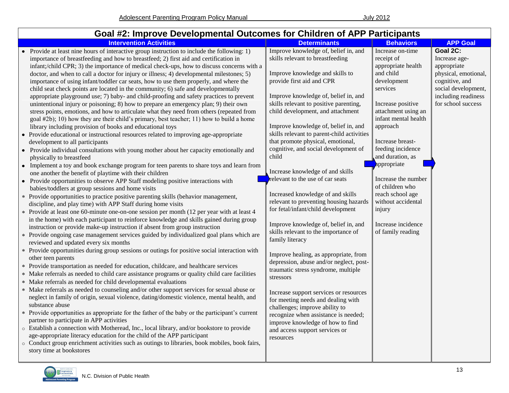#### **Goal #2: Improve Developmental Outcomes for Children of APP Participants Intervention Activities Determinants Behaviors APP Goal** Provide at least nine hours of interactive group instruction to include the following: 1) importance of breastfeeding and how to breastfeed; 2) first aid and certification in infant;/child CPR; 3) the importance of medical check-ups, how to discuss concerns with a doctor, and when to call a doctor for injury or illness; 4) developmental milestones; 5) importance of using infant/toddler car seats, how to use them properly, and where the child seat check points are located in the community; 6) safe and developmentally appropriate playground use; 7) baby- and child-proofing and safety practices to prevent unintentional injury or poisoning; 8) how to prepare an emergency plan; 9) their own stress points, emotions, and how to articulate what they need from others (repeated from goal #2b); 10) how they are their child's primary, best teacher; 11) how to build a home library including provision of books and educational toys Provide educational or instructional resources related to improving age-appropriate development to all participants • Provide individual consultations with young mother about her capacity emotionally and physically to breastfeed • Implement a toy and book exchange program for teen parents to share toys and learn from one another the benefit of playtime with their children • Provide opportunities to observe APP Staff modeling positive interactions with babies/toddlers at group sessions and home visits Provide opportunities to practice positive parenting skills (behavior management, discipline, and play time) with APP Staff during home visits Provide at least one 60-minute one-on-one session per month (12 per year with at least 4 in the home) with each participant to reinforce knowledge and skills gained during group instruction or provide make-up instruction if absent from group instruction Provide ongoing case management services guided by individualized goal plans which are reviewed and updated every six months Provide opportunities during group sessions or outings for positive social interaction with other teen parents Provide transportation as needed for education, childcare, and healthcare services Make referrals as needed to child care assistance programs or quality child care facilities Make referrals as needed for child developmental evaluations Make referrals as needed to counseling and/or other support services for sexual abuse or neglect in family of origin, sexual violence, dating/domestic violence, mental health, and substance abuse Provide opportunities as appropriate for the father of the baby or the participant's current partner to participate in APP activities o Establish a connection with Motheread, Inc., local library, and/or bookstore to provide age-appropriate literacy education for the child of the APP participant o Conduct group enrichment activities such as outings to libraries, book mobiles, book fairs, story time at bookstores Improve knowledge of, belief in, and skills relevant to breastfeeding Improve knowledge and skills to provide first aid and CPR Improve knowledge of, belief in, and skills relevant to positive parenting, child development, and attachment Improve knowledge of, belief in, and skills relevant to parent-child activities that promote physical, emotional, cognitive, and social development of child Increase knowledge of and skills relevant to the use of car seats Increased knowledge of and skills relevant to preventing housing hazards for fetal/infant/child development Improve knowledge of, belief in, and skills relevant to the importance of family literacy Improve healing, as appropriate, from depression, abuse and/or neglect, posttraumatic stress syndrome, multiple stressors Increase support services or resources for meeting needs and dealing with challenges; improve ability to recognize when assistance is needed; improve knowledge of how to find and access support services or resources Increase on-time receipt of appropriate health and child development services Increase positive attachment using an infant mental health approach Increase breastfeeding incidence and duration, as appropriate Increase the number of children who reach school age without accidental injury Increase incidence of family reading **Goal 2C:** Increase ageappropriate physical, emotional, cognitive, and social development, including readiness for school success